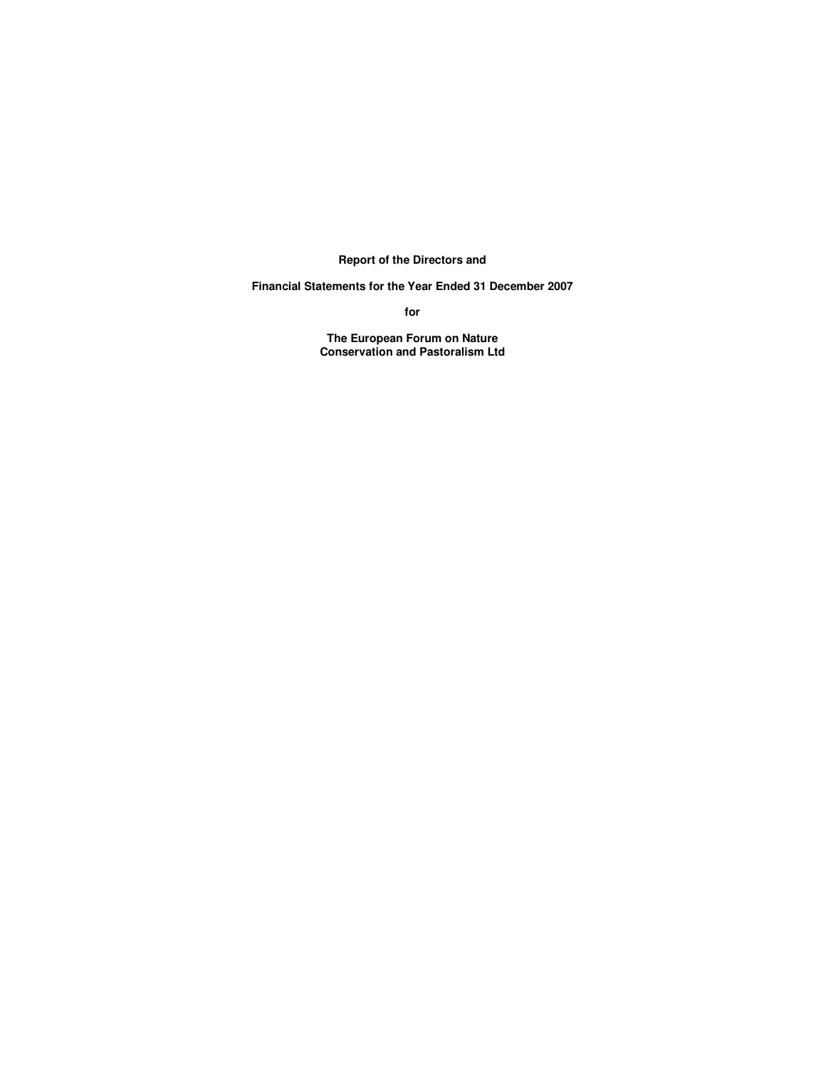**Report of the Directors and** 

**Financial Statements for the Year Ended 31 December 2007** 

**for** 

**The European Forum on Nature Conservation and Pastoralism Ltd**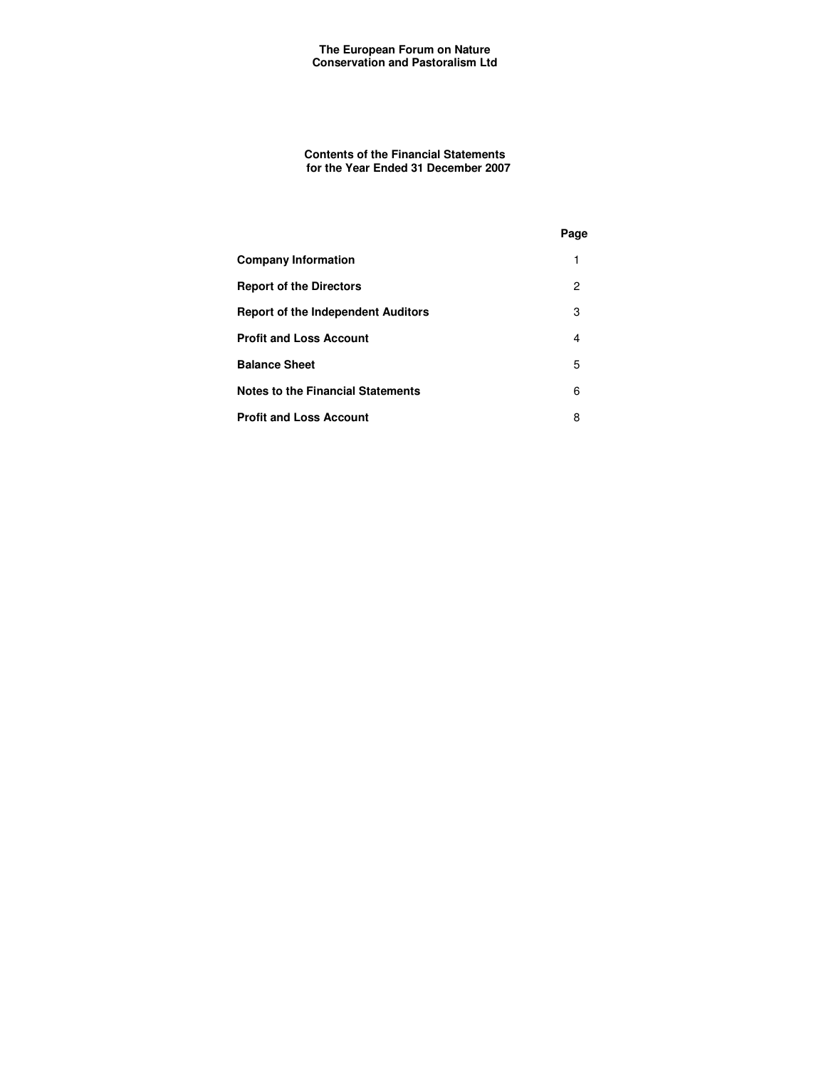**Contents of the Financial Statements for the Year Ended 31 December 2007** 

|                                    | Page |
|------------------------------------|------|
| <b>Company Information</b>         | 1    |
| <b>Report of the Directors</b>     | 2    |
| Report of the Independent Auditors | 3    |
| <b>Profit and Loss Account</b>     | 4    |
| <b>Balance Sheet</b>               | 5    |
| Notes to the Financial Statements  | 6    |
| <b>Profit and Loss Account</b>     | 8    |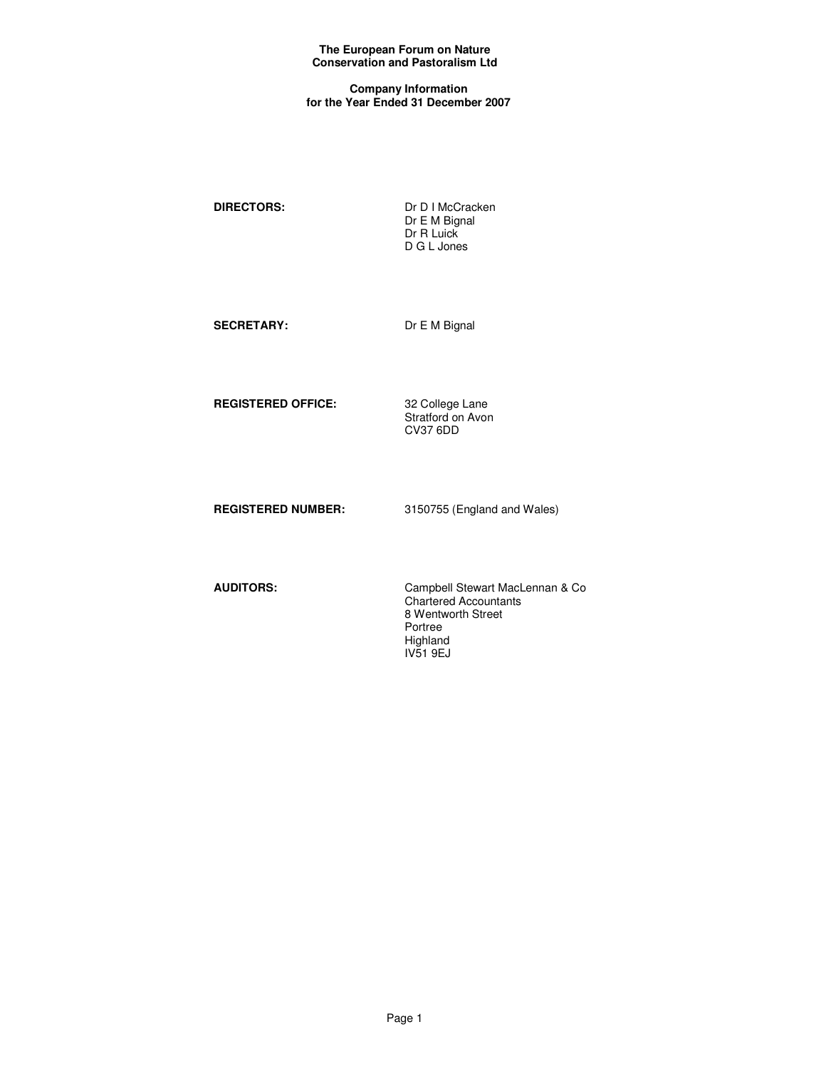## **Company Information for the Year Ended 31 December 2007**

**DIRECTORS:** Dr D I McCracken Dr E M Bignal Dr R Luick D G L Jones

SECRETARY: Dr E M Bignal

**REGISTERED OFFICE:** 32 College Lane

Stratford on Avon CV37 6DD

**REGISTERED NUMBER:** 3150755 (England and Wales)

**AUDITORS:** Campbell Stewart MacLennan & Co Chartered Accountants 8 Wentworth Street Portree Highland IV51 9EJ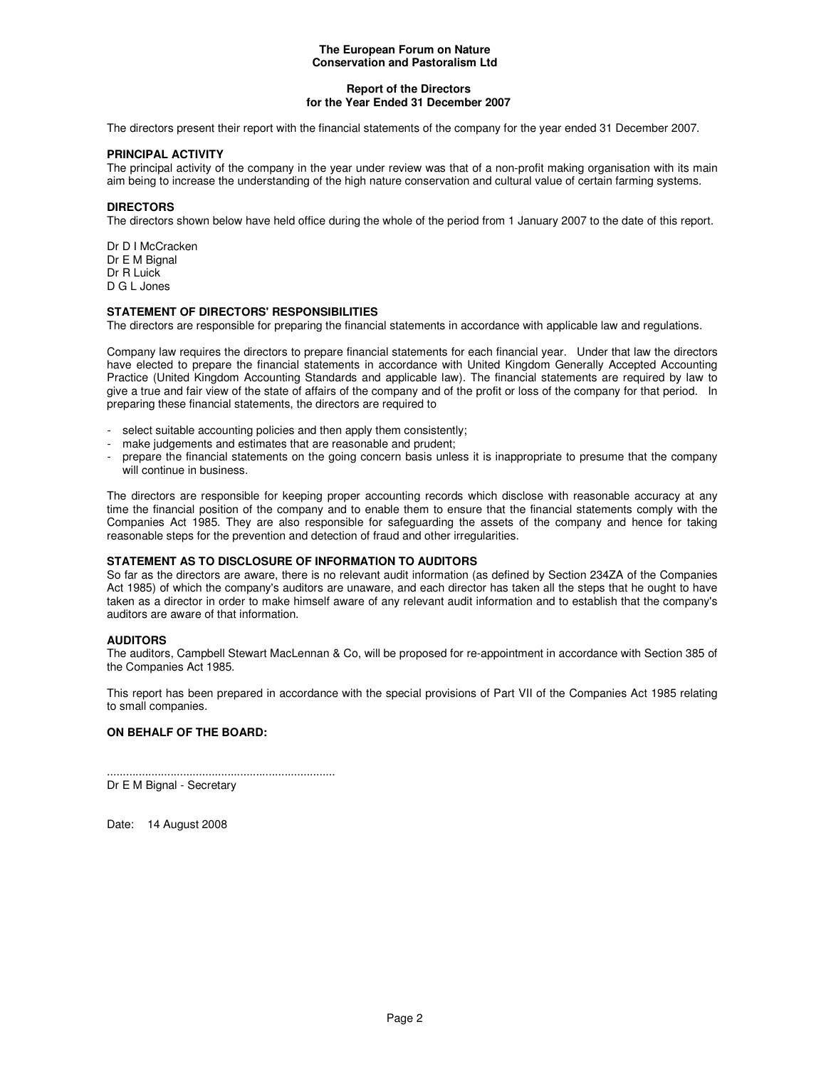# **Report of the Directors for the Year Ended 31 December 2007**

The directors present their report with the financial statements of the company for the year ended 31 December 2007.

# **PRINCIPAL ACTIVITY**

The principal activity of the company in the year under review was that of a non-profit making organisation with its main aim being to increase the understanding of the high nature conservation and cultural value of certain farming systems.

# **DIRECTORS**

The directors shown below have held office during the whole of the period from 1 January 2007 to the date of this report.

Dr D I McCracken Dr E M Bignal Dr R Luick D G L Jones

## **STATEMENT OF DIRECTORS' RESPONSIBILITIES**

The directors are responsible for preparing the financial statements in accordance with applicable law and regulations.

Company law requires the directors to prepare financial statements for each financial year. Under that law the directors have elected to prepare the financial statements in accordance with United Kingdom Generally Accepted Accounting Practice (United Kingdom Accounting Standards and applicable law). The financial statements are required by law to give a true and fair view of the state of affairs of the company and of the profit or loss of the company for that period. In preparing these financial statements, the directors are required to

- select suitable accounting policies and then apply them consistently;
- make judgements and estimates that are reasonable and prudent;
- prepare the financial statements on the going concern basis unless it is inappropriate to presume that the company will continue in business.

The directors are responsible for keeping proper accounting records which disclose with reasonable accuracy at any time the financial position of the company and to enable them to ensure that the financial statements comply with the Companies Act 1985. They are also responsible for safeguarding the assets of the company and hence for taking reasonable steps for the prevention and detection of fraud and other irregularities.

## **STATEMENT AS TO DISCLOSURE OF INFORMATION TO AUDITORS**

........................................................................

So far as the directors are aware, there is no relevant audit information (as defined by Section 234ZA of the Companies Act 1985) of which the company's auditors are unaware, and each director has taken all the steps that he ought to have taken as a director in order to make himself aware of any relevant audit information and to establish that the company's auditors are aware of that information.

# **AUDITORS**

The auditors, Campbell Stewart MacLennan & Co, will be proposed for re-appointment in accordance with Section 385 of the Companies Act 1985.

This report has been prepared in accordance with the special provisions of Part VII of the Companies Act 1985 relating to small companies.

# **ON BEHALF OF THE BOARD:**

Dr E M Bignal - Secretary

Date: 14 August 2008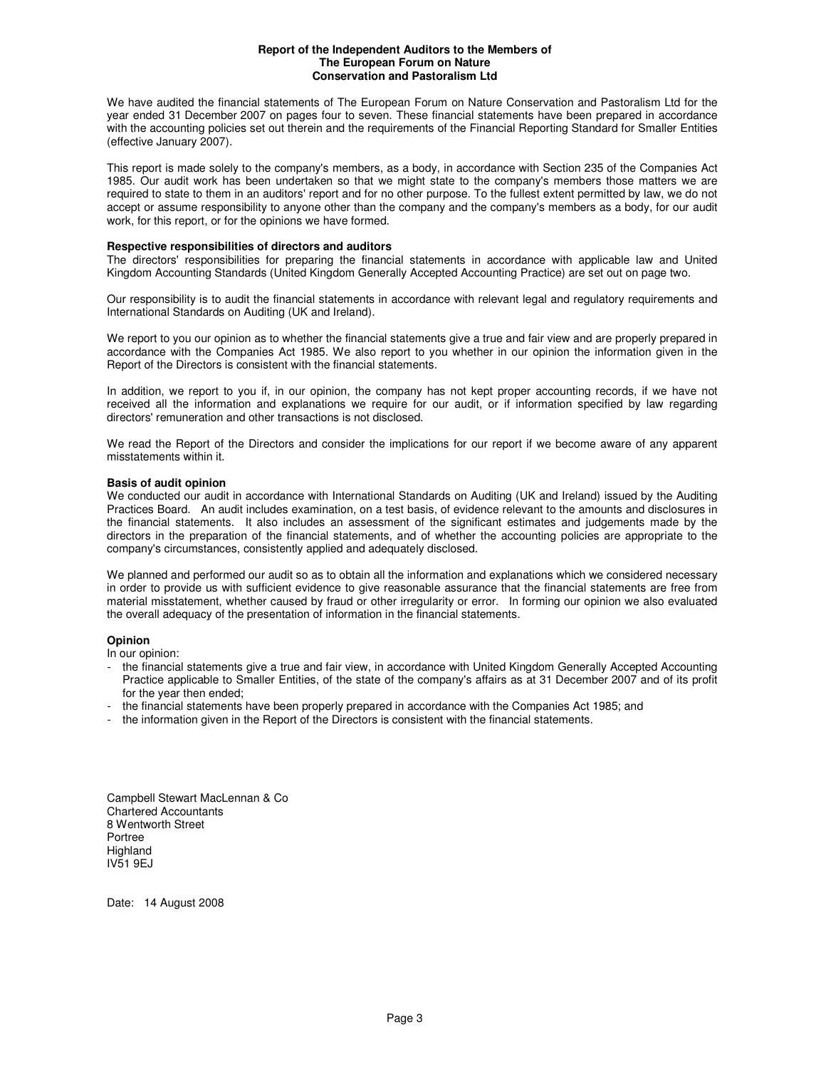### **Report of the Independent Auditors to the Members of The European Forum on Nature Conservation and Pastoralism Ltd**

We have audited the financial statements of The European Forum on Nature Conservation and Pastoralism Ltd for the year ended 31 December 2007 on pages four to seven. These financial statements have been prepared in accordance with the accounting policies set out therein and the requirements of the Financial Reporting Standard for Smaller Entities (effective January 2007).

This report is made solely to the company's members, as a body, in accordance with Section 235 of the Companies Act 1985. Our audit work has been undertaken so that we might state to the company's members those matters we are required to state to them in an auditors' report and for no other purpose. To the fullest extent permitted by law, we do not accept or assume responsibility to anyone other than the company and the company's members as a body, for our audit work, for this report, or for the opinions we have formed.

### **Respective responsibilities of directors and auditors**

The directors' responsibilities for preparing the financial statements in accordance with applicable law and United Kingdom Accounting Standards (United Kingdom Generally Accepted Accounting Practice) are set out on page two.

Our responsibility is to audit the financial statements in accordance with relevant legal and regulatory requirements and International Standards on Auditing (UK and Ireland).

We report to you our opinion as to whether the financial statements give a true and fair view and are properly prepared in accordance with the Companies Act 1985. We also report to you whether in our opinion the information given in the Report of the Directors is consistent with the financial statements.

In addition, we report to you if, in our opinion, the company has not kept proper accounting records, if we have not received all the information and explanations we require for our audit, or if information specified by law regarding directors' remuneration and other transactions is not disclosed.

We read the Report of the Directors and consider the implications for our report if we become aware of any apparent misstatements within it.

## **Basis of audit opinion**

We conducted our audit in accordance with International Standards on Auditing (UK and Ireland) issued by the Auditing Practices Board. An audit includes examination, on a test basis, of evidence relevant to the amounts and disclosures in the financial statements. It also includes an assessment of the significant estimates and judgements made by the directors in the preparation of the financial statements, and of whether the accounting policies are appropriate to the company's circumstances, consistently applied and adequately disclosed.

We planned and performed our audit so as to obtain all the information and explanations which we considered necessary in order to provide us with sufficient evidence to give reasonable assurance that the financial statements are free from material misstatement, whether caused by fraud or other irregularity or error. In forming our opinion we also evaluated the overall adequacy of the presentation of information in the financial statements.

## **Opinion**

In our opinion:

- the financial statements give a true and fair view, in accordance with United Kingdom Generally Accepted Accounting Practice applicable to Smaller Entities, of the state of the company's affairs as at 31 December 2007 and of its profit for the year then ended;
- the financial statements have been properly prepared in accordance with the Companies Act 1985; and
- the information given in the Report of the Directors is consistent with the financial statements.

Campbell Stewart MacLennan & Co Chartered Accountants 8 Wentworth Street Portree Highland IV51 9EJ

Date: 14 August 2008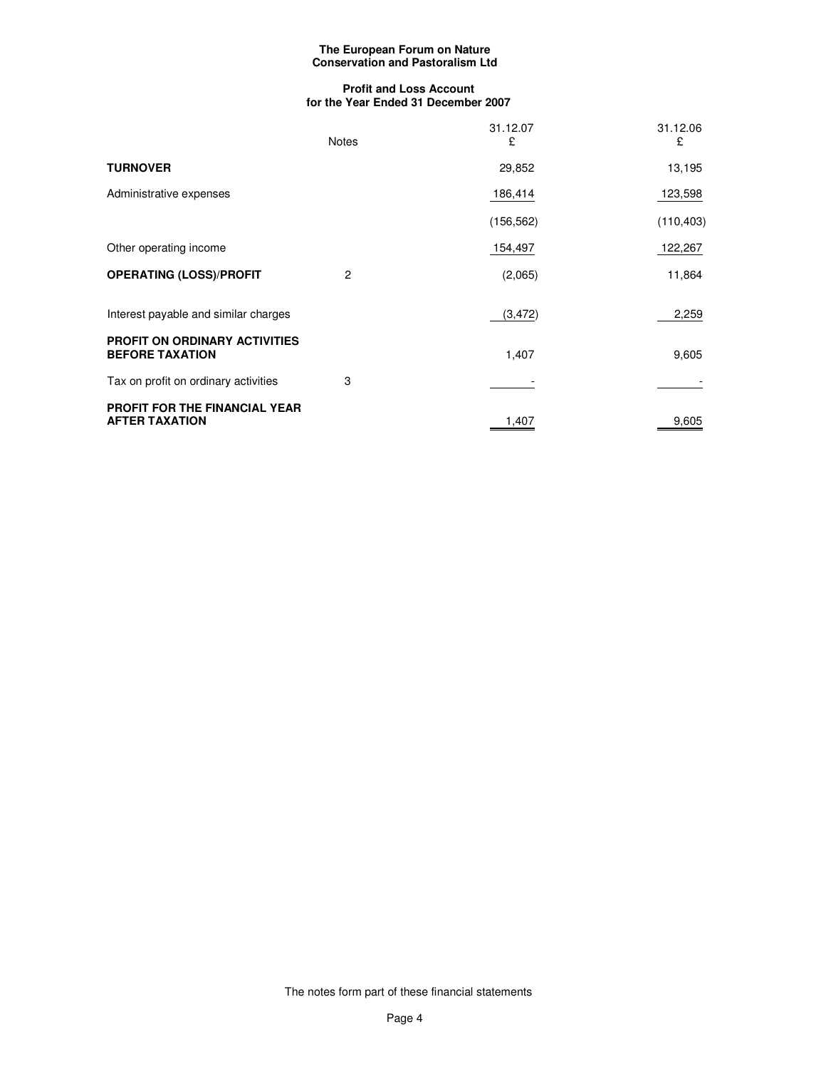# **Profit and Loss Account for the Year Ended 31 December 2007**

|                                                                | <b>Notes</b> | 31.12.07<br>£ | 31.12.06<br>£ |
|----------------------------------------------------------------|--------------|---------------|---------------|
| <b>TURNOVER</b>                                                |              | 29,852        | 13,195        |
| Administrative expenses                                        |              | 186,414       | 123,598       |
|                                                                |              | (156, 562)    | (110, 403)    |
| Other operating income                                         |              | 154,497       | 122,267       |
| <b>OPERATING (LOSS)/PROFIT</b>                                 | 2            | (2,065)       | 11,864        |
| Interest payable and similar charges                           |              | (3, 472)      | 2,259         |
| <b>PROFIT ON ORDINARY ACTIVITIES</b><br><b>BEFORE TAXATION</b> |              | 1,407         | 9,605         |
| Tax on profit on ordinary activities                           | 3            |               |               |
| <b>PROFIT FOR THE FINANCIAL YEAR</b><br><b>AFTER TAXATION</b>  |              | 1,407         | 9,605         |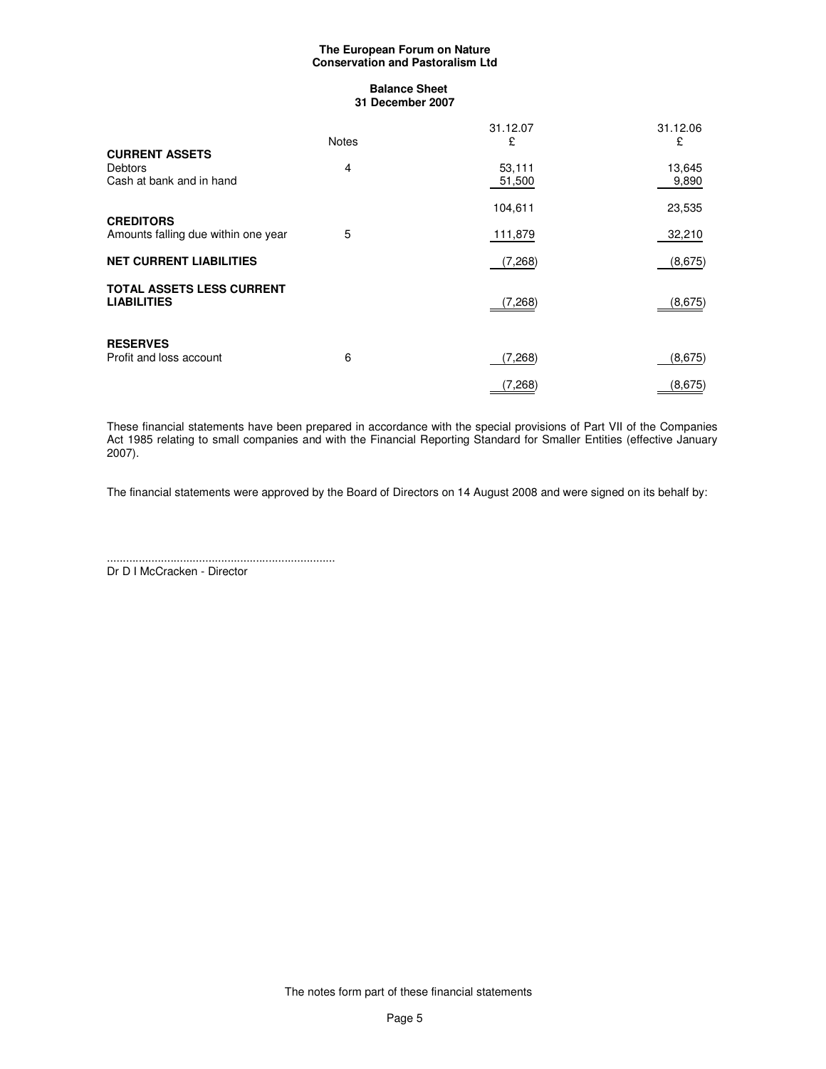# **Balance Sheet 31 December 2007**

|                                                        | <b>Notes</b> | 31.12.07<br>£    | 31.12.06<br>£   |
|--------------------------------------------------------|--------------|------------------|-----------------|
| <b>CURRENT ASSETS</b>                                  |              |                  |                 |
| <b>Debtors</b><br>Cash at bank and in hand             | 4            | 53,111<br>51,500 | 13,645<br>9,890 |
| <b>CREDITORS</b>                                       |              | 104,611          | 23,535          |
| Amounts falling due within one year                    | 5            | 111,879          | 32,210          |
| <b>NET CURRENT LIABILITIES</b>                         |              | (7,268)          | (8,675)         |
| <b>TOTAL ASSETS LESS CURRENT</b><br><b>LIABILITIES</b> |              | (7,268)          | (8,675)         |
| <b>RESERVES</b><br>Profit and loss account             | 6            | (7,268)          | (8,675)         |
|                                                        |              | 7,268            | (8,675)         |

These financial statements have been prepared in accordance with the special provisions of Part VII of the Companies Act 1985 relating to small companies and with the Financial Reporting Standard for Smaller Entities (effective January 2007).

The financial statements were approved by the Board of Directors on 14 August 2008 and were signed on its behalf by:

........................................................................ Dr D I McCracken - Director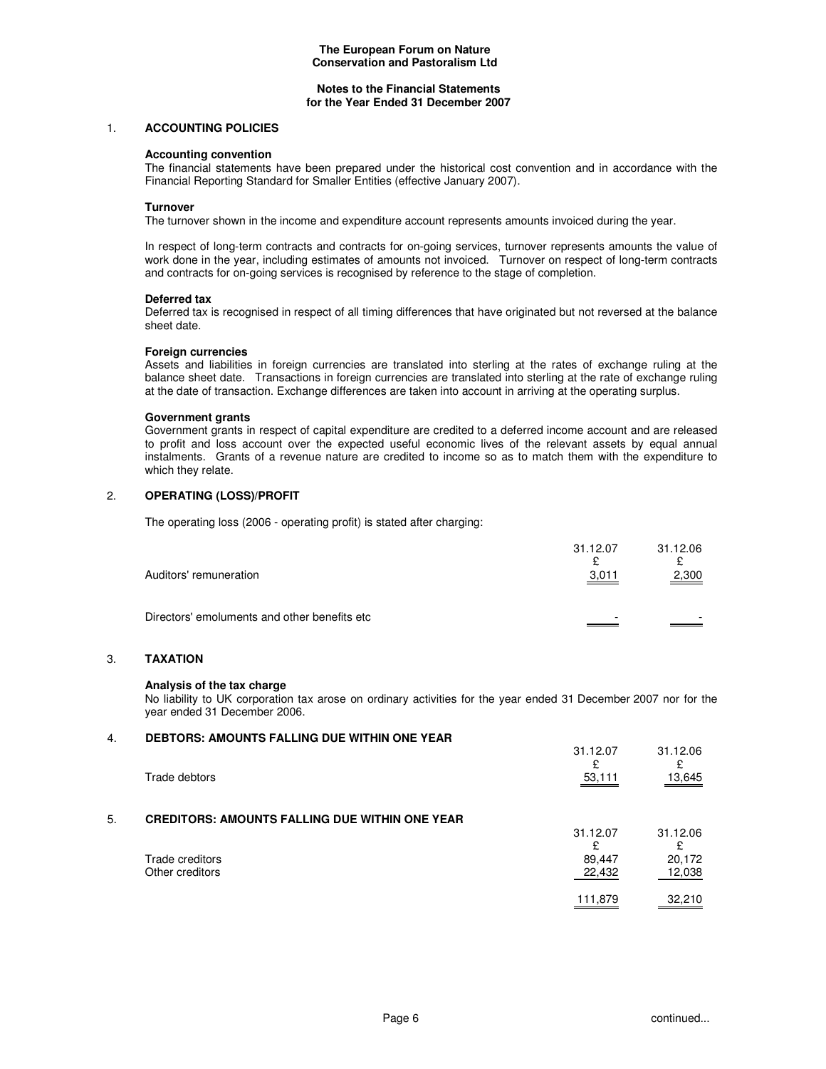## **Notes to the Financial Statements for the Year Ended 31 December 2007**

### 1. **ACCOUNTING POLICIES**

### **Accounting convention**

The financial statements have been prepared under the historical cost convention and in accordance with the Financial Reporting Standard for Smaller Entities (effective January 2007).

#### **Turnover**

The turnover shown in the income and expenditure account represents amounts invoiced during the year.

In respect of long-term contracts and contracts for on-going services, turnover represents amounts the value of work done in the year, including estimates of amounts not invoiced. Turnover on respect of long-term contracts and contracts for on-going services is recognised by reference to the stage of completion.

#### **Deferred tax**

Deferred tax is recognised in respect of all timing differences that have originated but not reversed at the balance sheet date.

#### **Foreign currencies**

Assets and liabilities in foreign currencies are translated into sterling at the rates of exchange ruling at the balance sheet date. Transactions in foreign currencies are translated into sterling at the rate of exchange ruling at the date of transaction. Exchange differences are taken into account in arriving at the operating surplus.

#### **Government grants**

Government grants in respect of capital expenditure are credited to a deferred income account and are released to profit and loss account over the expected useful economic lives of the relevant assets by equal annual instalments. Grants of a revenue nature are credited to income so as to match them with the expenditure to which they relate.

## 2. **OPERATING (LOSS)/PROFIT**

The operating loss (2006 - operating profit) is stated after charging:

| Auditors' remuneration                       | 31.12.07<br><u>3,011</u> | 31.12.06<br>2,300 |
|----------------------------------------------|--------------------------|-------------------|
| Directors' emoluments and other benefits etc | -                        |                   |

# 3. **TAXATION**

#### **Analysis of the tax charge**

No liability to UK corporation tax arose on ordinary activities for the year ended 31 December 2007 nor for the year ended 31 December 2006.

## 4. **DEBTORS: AMOUNTS FALLING DUE WITHIN ONE YEAR**

|    | Trade debtors                                         | 31.12.07<br>53,111 | 31.12.06<br>13,645 |
|----|-------------------------------------------------------|--------------------|--------------------|
| 5. | <b>CREDITORS: AMOUNTS FALLING DUE WITHIN ONE YEAR</b> |                    |                    |
|    |                                                       | 31.12.07<br>£      | 31.12.06           |
|    | Trade creditors                                       | 89.447             | 20,172             |
|    | Other creditors                                       | 22,432             | 12,038             |
|    |                                                       | 111,879            | 32,210             |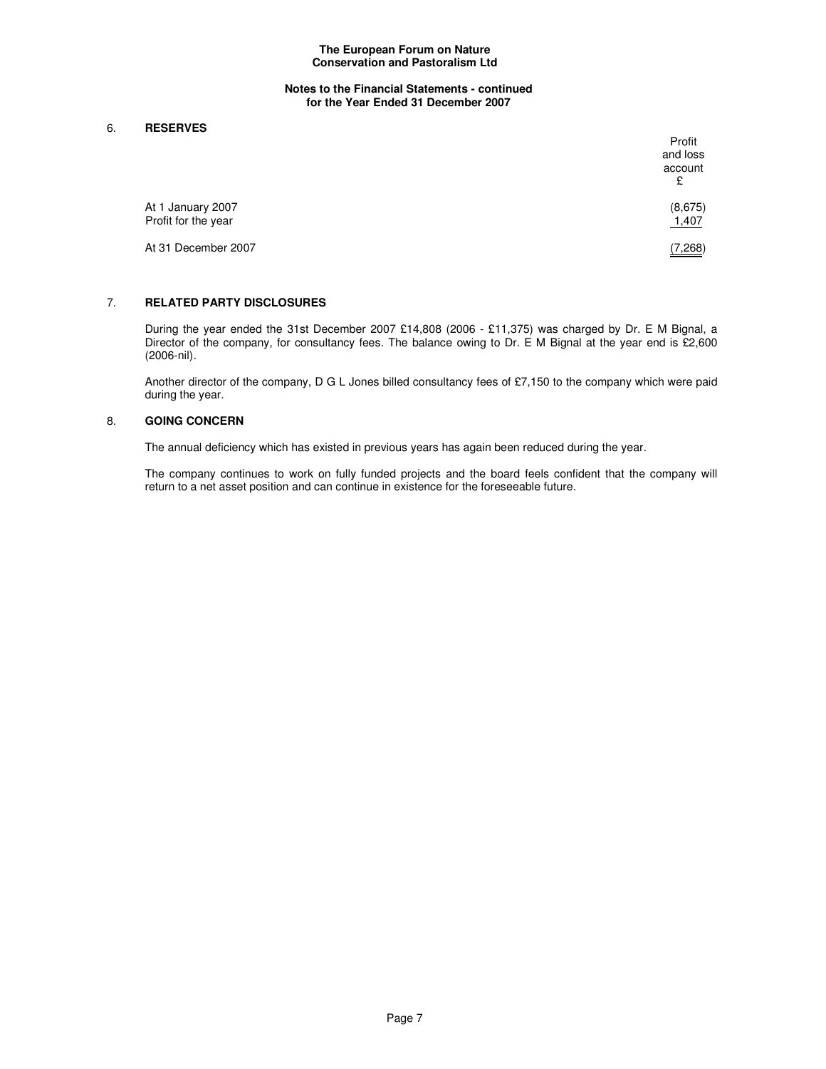**Notes to the Financial Statements - continued for the Year Ended 31 December 2007** 

### 6. **RESERVES**

|                                          | Profit<br>and loss<br>account<br>£ |
|------------------------------------------|------------------------------------|
| At 1 January 2007<br>Profit for the year | (8,675)<br>1,407                   |
| At 31 December 2007                      | (7, 268)                           |

## 7. **RELATED PARTY DISCLOSURES**

During the year ended the 31st December 2007 £14,808 (2006 - £11,375) was charged by Dr. E M Bignal, a Director of the company, for consultancy fees. The balance owing to Dr. E M Bignal at the year end is £2,600 (2006-nil).

Another director of the company, D G L Jones billed consultancy fees of £7,150 to the company which were paid during the year.

## 8. **GOING CONCERN**

The annual deficiency which has existed in previous years has again been reduced during the year.

The company continues to work on fully funded projects and the board feels confident that the company will return to a net asset position and can continue in existence for the foreseeable future.